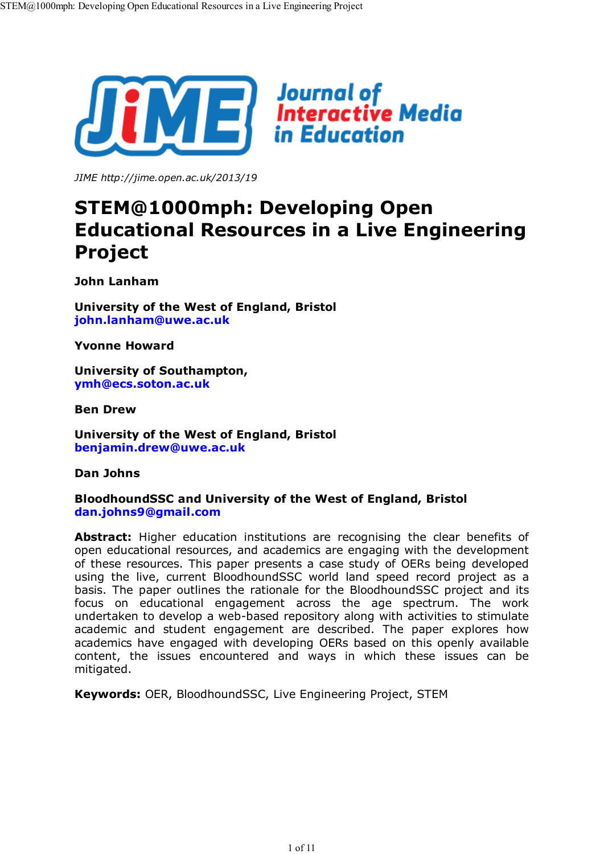

*JIME http://jime.open.ac.uk/2013/19*

# **STEM@1000mph: Developing Open Educational Resources in a Live Engineering Project**

**John Lanham**

**University of the West of England, Bristol john.lanham@uwe.ac.uk**

**Yvonne Howard**

**University of Southampton, ymh@ecs.soton.ac.uk**

**Ben Drew**

**University of the West of England, Bristol benjamin.drew@uwe.ac.uk**

**Dan Johns**

#### **BloodhoundSSC and University of the West of England, Bristol dan.johns9@gmail.com**

**Abstract:** Higher education institutions are recognising the clear benefits of open educational resources, and academics are engaging with the development of these resources. This paper presents a case study of OERs being developed using the live, current BloodhoundSSC world land speed record project as a basis. The paper outlines the rationale for the BloodhoundSSC project and its focus on educational engagement across the age spectrum. The work undertaken to develop a web-based repository along with activities to stimulate academic and student engagement are described. The paper explores how academics have engaged with developing OERs based on this openly available content, the issues encountered and ways in which these issues can be mitigated.

**Keywords:** OER, BloodhoundSSC, Live Engineering Project, STEM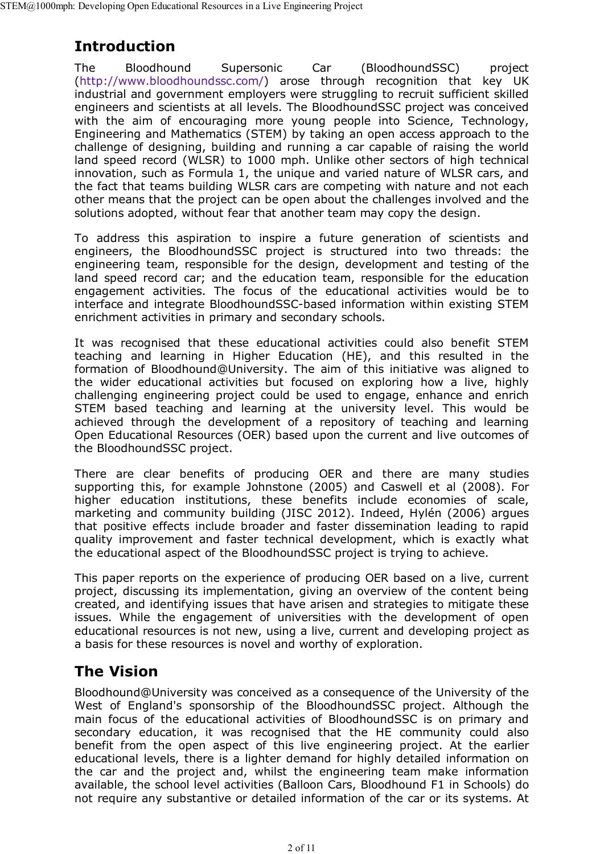### **Introduction**

The Bloodhound Supersonic Car (BloodhoundSSC) project (http://www.bloodhoundssc.com/) arose through recognition that key UK industrial and government employers were struggling to recruit sufficient skilled engineers and scientists at all levels. The BloodhoundSSC project was conceived with the aim of encouraging more young people into Science, Technology, Engineering and Mathematics (STEM) by taking an open access approach to the challenge of designing, building and running a car capable of raising the world land speed record (WLSR) to 1000 mph. Unlike other sectors of high technical innovation, such as Formula 1, the unique and varied nature of WLSR cars, and the fact that teams building WLSR cars are competing with nature and not each other means that the project can be open about the challenges involved and the solutions adopted, without fear that another team may copy the design.

To address this aspiration to inspire a future generation of scientists and engineers, the BloodhoundSSC project is structured into two threads: the engineering team, responsible for the design, development and testing of the land speed record car; and the education team, responsible for the education engagement activities. The focus of the educational activities would be to interface and integrate BloodhoundSSC-based information within existing STEM enrichment activities in primary and secondary schools.

It was recognised that these educational activities could also benefit STEM teaching and learning in Higher Education (HE), and this resulted in the formation of Bloodhound@University. The aim of this initiative was aligned to the wider educational activities but focused on exploring how a live, highly challenging engineering project could be used to engage, enhance and enrich STEM based teaching and learning at the university level. This would be achieved through the development of a repository of teaching and learning Open Educational Resources (OER) based upon the current and live outcomes of the BloodhoundSSC project.

There are clear benefits of producing OER and there are many studies supporting this, for example Johnstone (2005) and Caswell et al (2008). For higher education institutions, these benefits include economies of scale, marketing and community building (JISC 2012). Indeed, Hylén (2006) argues that positive effects include broader and faster dissemination leading to rapid quality improvement and faster technical development, which is exactly what the educational aspect of the BloodhoundSSC project is trying to achieve.

This paper reports on the experience of producing OER based on a live, current project, discussing its implementation, giving an overview of the content being created, and identifying issues that have arisen and strategies to mitigate these issues. While the engagement of universities with the development of open educational resources is not new, using a live, current and developing project as a basis for these resources is novel and worthy of exploration.

## **The Vision**

Bloodhound@University was conceived as a consequence of the University of the West of England's sponsorship of the BloodhoundSSC project. Although the main focus of the educational activities of BloodhoundSSC is on primary and secondary education, it was recognised that the HE community could also benefit from the open aspect of this live engineering project. At the earlier educational levels, there is a lighter demand for highly detailed information on the car and the project and, whilst the engineering team make information available, the school level activities (Balloon Cars, Bloodhound F1 in Schools) do not require any substantive or detailed information of the car or its systems. At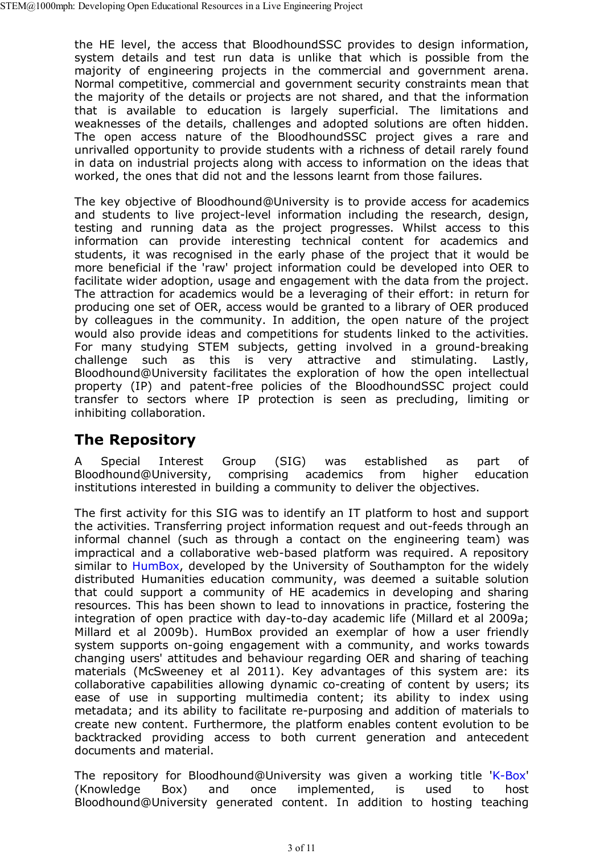the HE level, the access that BloodhoundSSC provides to design information, system details and test run data is unlike that which is possible from the majority of engineering projects in the commercial and government arena. Normal competitive, commercial and government security constraints mean that the majority of the details or projects are not shared, and that the information that is available to education is largely superficial. The limitations and weaknesses of the details, challenges and adopted solutions are often hidden. The open access nature of the BloodhoundSSC project gives a rare and unrivalled opportunity to provide students with a richness of detail rarely found in data on industrial projects along with access to information on the ideas that worked, the ones that did not and the lessons learnt from those failures.

The key objective of Bloodhound@University is to provide access for academics and students to live project-level information including the research, design, testing and running data as the project progresses. Whilst access to this information can provide interesting technical content for academics and students, it was recognised in the early phase of the project that it would be more beneficial if the 'raw' project information could be developed into OER to facilitate wider adoption, usage and engagement with the data from the project. The attraction for academics would be a leveraging of their effort: in return for producing one set of OER, access would be granted to a library of OER produced by colleagues in the community. In addition, the open nature of the project would also provide ideas and competitions for students linked to the activities. For many studying STEM subjects, getting involved in a ground-breaking challenge such as this is very attractive and stimulating. Lastly, Bloodhound@University facilitates the exploration of how the open intellectual property (IP) and patent-free policies of the BloodhoundSSC project could transfer to sectors where IP protection is seen as precluding, limiting or inhibiting collaboration.

### **The Repository**

A Special Interest Group (SIG) was established as part of Bloodhound@University, comprising academics from higher education institutions interested in building a community to deliver the objectives.

The first activity for this SIG was to identify an IT platform to host and support the activities. Transferring project information request and out-feeds through an informal channel (such as through a contact on the engineering team) was impractical and a collaborative web-based platform was required. A repository similar to HumBox, developed by the University of Southampton for the widely distributed Humanities education community, was deemed a suitable solution that could support a community of HE academics in developing and sharing resources. This has been shown to lead to innovations in practice, fostering the integration of open practice with day-to-day academic life (Millard et al 2009a; Millard et al 2009b). HumBox provided an exemplar of how a user friendly system supports on-going engagement with a community, and works towards changing users' attitudes and behaviour regarding OER and sharing of teaching materials (McSweeney et al 2011). Key advantages of this system are: its collaborative capabilities allowing dynamic co-creating of content by users; its ease of use in supporting multimedia content; its ability to index using metadata; and its ability to facilitate re-purposing and addition of materials to create new content. Furthermore, the platform enables content evolution to be backtracked providing access to both current generation and antecedent documents and material.

The repository for Bloodhound@University was given a working title 'K-Box' (Knowledge Box) and once implemented, is used to host Bloodhound@University generated content. In addition to hosting teaching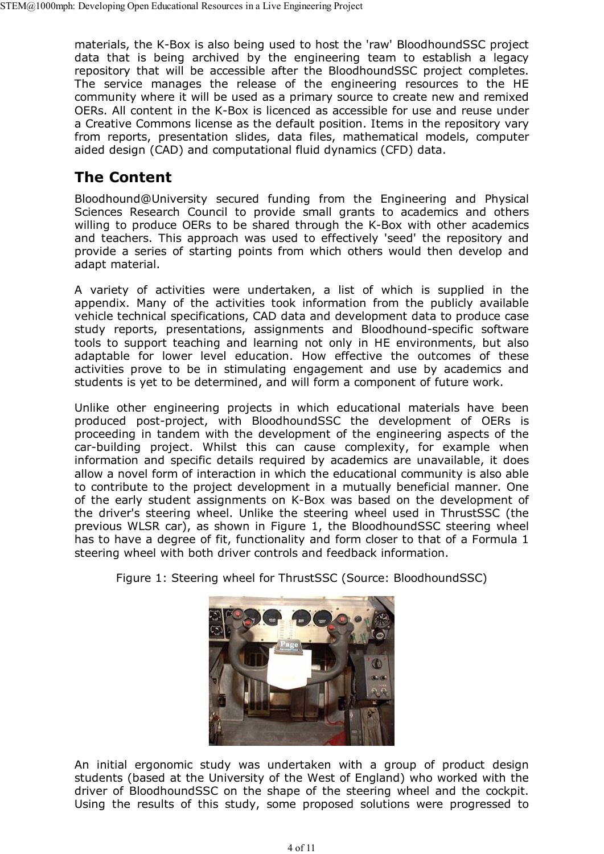materials, the K-Box is also being used to host the 'raw' BloodhoundSSC project data that is being archived by the engineering team to establish a legacy repository that will be accessible after the BloodhoundSSC project completes. The service manages the release of the engineering resources to the HE community where it will be used as a primary source to create new and remixed OERs. All content in the K-Box is licenced as accessible for use and reuse under a Creative Commons license as the default position. Items in the repository vary from reports, presentation slides, data files, mathematical models, computer aided design (CAD) and computational fluid dynamics (CFD) data.

### **The Content**

Bloodhound@University secured funding from the Engineering and Physical Sciences Research Council to provide small grants to academics and others willing to produce OERs to be shared through the K-Box with other academics and teachers. This approach was used to effectively 'seed' the repository and provide a series of starting points from which others would then develop and adapt material.

A variety of activities were undertaken, a list of which is supplied in the appendix. Many of the activities took information from the publicly available vehicle technical specifications, CAD data and development data to produce case study reports, presentations, assignments and Bloodhound-specific software tools to support teaching and learning not only in HE environments, but also adaptable for lower level education. How effective the outcomes of these activities prove to be in stimulating engagement and use by academics and students is yet to be determined, and will form a component of future work.

Unlike other engineering projects in which educational materials have been produced post-project, with BloodhoundSSC the development of OERs is proceeding in tandem with the development of the engineering aspects of the car-building project. Whilst this can cause complexity, for example when information and specific details required by academics are unavailable, it does allow a novel form of interaction in which the educational community is also able to contribute to the project development in a mutually beneficial manner. One of the early student assignments on K-Box was based on the development of the driver's steering wheel. Unlike the steering wheel used in ThrustSSC (the previous WLSR car), as shown in Figure 1, the BloodhoundSSC steering wheel has to have a degree of fit, functionality and form closer to that of a Formula 1 steering wheel with both driver controls and feedback information.





An initial ergonomic study was undertaken with a group of product design students (based at the University of the West of England) who worked with the driver of BloodhoundSSC on the shape of the steering wheel and the cockpit. Using the results of this study, some proposed solutions were progressed to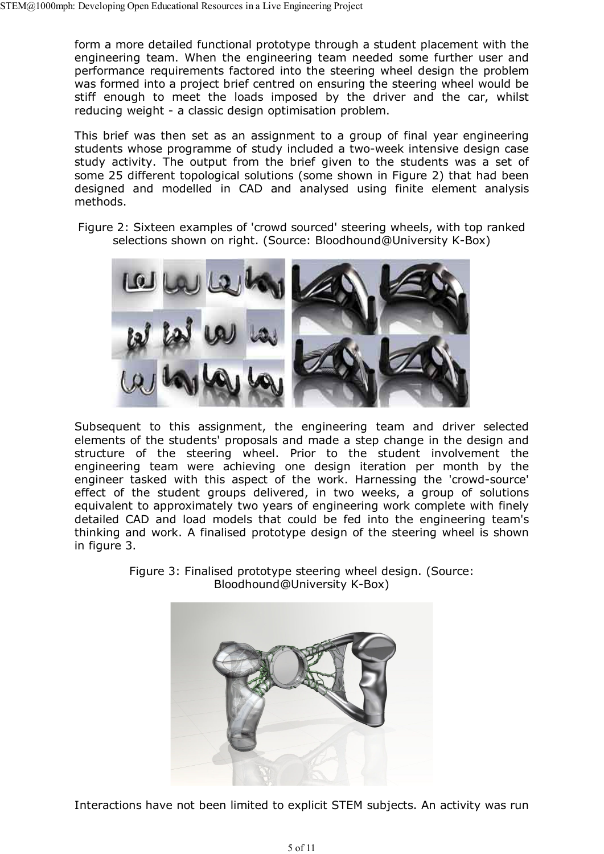form a more detailed functional prototype through a student placement with the engineering team. When the engineering team needed some further user and performance requirements factored into the steering wheel design the problem was formed into a project brief centred on ensuring the steering wheel would be stiff enough to meet the loads imposed by the driver and the car, whilst reducing weight - a classic design optimisation problem.

This brief was then set as an assignment to a group of final year engineering students whose programme of study included a two-week intensive design case study activity. The output from the brief given to the students was a set of some 25 different topological solutions (some shown in Figure 2) that had been designed and modelled in CAD and analysed using finite element analysis methods.

Figure 2: Sixteen examples of 'crowd sourced' steering wheels, with top ranked selections shown on right. (Source: Bloodhound@University K-Box)



Subsequent to this assignment, the engineering team and driver selected elements of the students' proposals and made a step change in the design and structure of the steering wheel. Prior to the student involvement the engineering team were achieving one design iteration per month by the engineer tasked with this aspect of the work. Harnessing the 'crowd-source' effect of the student groups delivered, in two weeks, a group of solutions equivalent to approximately two years of engineering work complete with finely detailed CAD and load models that could be fed into the engineering team's thinking and work. A finalised prototype design of the steering wheel is shown in figure 3.



Figure 3: Finalised prototype steering wheel design. (Source: Bloodhound@University K-Box)

Interactions have not been limited to explicit STEM subjects. An activity was run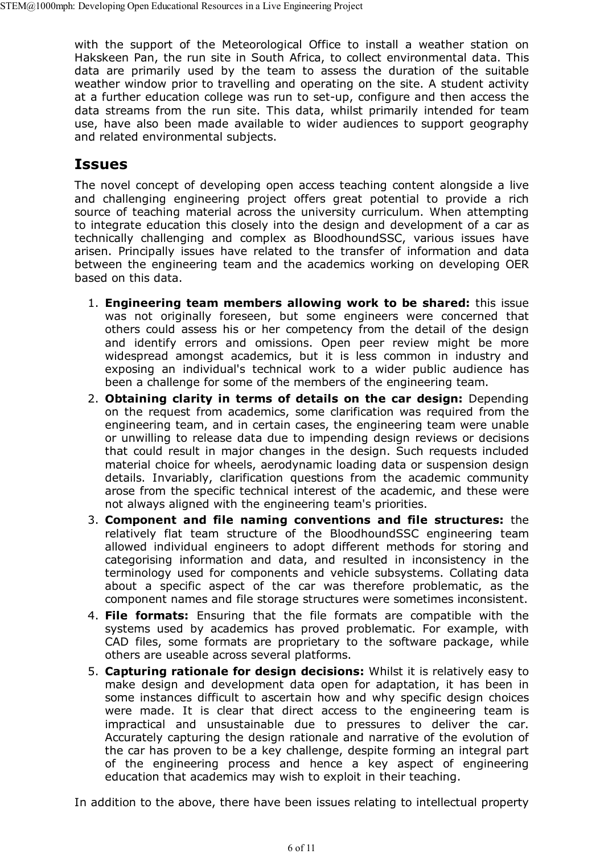with the support of the Meteorological Office to install a weather station on Hakskeen Pan, the run site in South Africa, to collect environmental data. This data are primarily used by the team to assess the duration of the suitable weather window prior to travelling and operating on the site. A student activity at a further education college was run to set-up, configure and then access the data streams from the run site. This data, whilst primarily intended for team use, have also been made available to wider audiences to support geography and related environmental subjects.

#### **Issues**

The novel concept of developing open access teaching content alongside a live and challenging engineering project offers great potential to provide a rich source of teaching material across the university curriculum. When attempting to integrate education this closely into the design and development of a car as technically challenging and complex as BloodhoundSSC, various issues have arisen. Principally issues have related to the transfer of information and data between the engineering team and the academics working on developing OER based on this data.

- **Engineering team members allowing work to be shared:** this issue 1. was not originally foreseen, but some engineers were concerned that others could assess his or her competency from the detail of the design and identify errors and omissions. Open peer review might be more widespread amongst academics, but it is less common in industry and exposing an individual's technical work to a wider public audience has been a challenge for some of the members of the engineering team.
- **Obtaining clarity in terms of details on the car design:** Depending 2. on the request from academics, some clarification was required from the engineering team, and in certain cases, the engineering team were unable or unwilling to release data due to impending design reviews or decisions that could result in major changes in the design. Such requests included material choice for wheels, aerodynamic loading data or suspension design details. Invariably, clarification questions from the academic community arose from the specific technical interest of the academic, and these were not always aligned with the engineering team's priorities.
- **Component and file naming conventions and file structures:** the 3. relatively flat team structure of the BloodhoundSSC engineering team allowed individual engineers to adopt different methods for storing and categorising information and data, and resulted in inconsistency in the terminology used for components and vehicle subsystems. Collating data about a specific aspect of the car was therefore problematic, as the component names and file storage structures were sometimes inconsistent.
- **File formats:** Ensuring that the file formats are compatible with the 4. systems used by academics has proved problematic. For example, with CAD files, some formats are proprietary to the software package, while others are useable across several platforms.
- **Capturing rationale for design decisions:** Whilst it is relatively easy to 5. make design and development data open for adaptation, it has been in some instances difficult to ascertain how and why specific design choices were made. It is clear that direct access to the engineering team is impractical and unsustainable due to pressures to deliver the car. Accurately capturing the design rationale and narrative of the evolution of the car has proven to be a key challenge, despite forming an integral part of the engineering process and hence a key aspect of engineering education that academics may wish to exploit in their teaching.

In addition to the above, there have been issues relating to intellectual property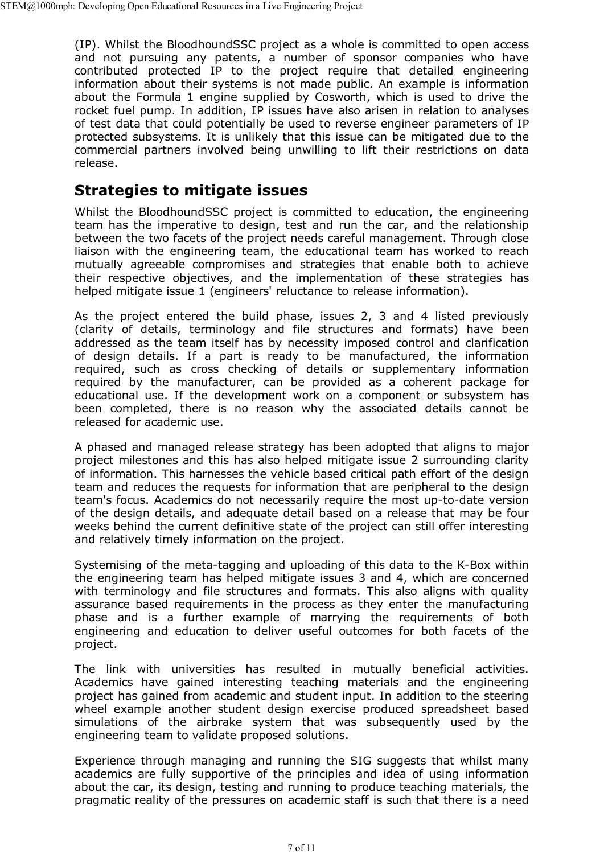(IP). Whilst the BloodhoundSSC project as a whole is committed to open access and not pursuing any patents, a number of sponsor companies who have contributed protected IP to the project require that detailed engineering information about their systems is not made public. An example is information about the Formula 1 engine supplied by Cosworth, which is used to drive the rocket fuel pump. In addition, IP issues have also arisen in relation to analyses of test data that could potentially be used to reverse engineer parameters of IP protected subsystems. It is unlikely that this issue can be mitigated due to the commercial partners involved being unwilling to lift their restrictions on data release.

#### **Strategies to mitigate issues**

Whilst the BloodhoundSSC project is committed to education, the engineering team has the imperative to design, test and run the car, and the relationship between the two facets of the project needs careful management. Through close liaison with the engineering team, the educational team has worked to reach mutually agreeable compromises and strategies that enable both to achieve their respective objectives, and the implementation of these strategies has helped mitigate issue 1 (engineers' reluctance to release information).

As the project entered the build phase, issues 2, 3 and 4 listed previously (clarity of details, terminology and file structures and formats) have been addressed as the team itself has by necessity imposed control and clarification of design details. If a part is ready to be manufactured, the information required, such as cross checking of details or supplementary information required by the manufacturer, can be provided as a coherent package for educational use. If the development work on a component or subsystem has been completed, there is no reason why the associated details cannot be released for academic use.

A phased and managed release strategy has been adopted that aligns to major project milestones and this has also helped mitigate issue 2 surrounding clarity of information. This harnesses the vehicle based critical path effort of the design team and reduces the requests for information that are peripheral to the design team's focus. Academics do not necessarily require the most up-to-date version of the design details, and adequate detail based on a release that may be four weeks behind the current definitive state of the project can still offer interesting and relatively timely information on the project.

Systemising of the meta-tagging and uploading of this data to the K-Box within the engineering team has helped mitigate issues 3 and 4, which are concerned with terminology and file structures and formats. This also aligns with quality assurance based requirements in the process as they enter the manufacturing phase and is a further example of marrying the requirements of both engineering and education to deliver useful outcomes for both facets of the project.

The link with universities has resulted in mutually beneficial activities. Academics have gained interesting teaching materials and the engineering project has gained from academic and student input. In addition to the steering wheel example another student design exercise produced spreadsheet based simulations of the airbrake system that was subsequently used by the engineering team to validate proposed solutions.

Experience through managing and running the SIG suggests that whilst many academics are fully supportive of the principles and idea of using information about the car, its design, testing and running to produce teaching materials, the pragmatic reality of the pressures on academic staff is such that there is a need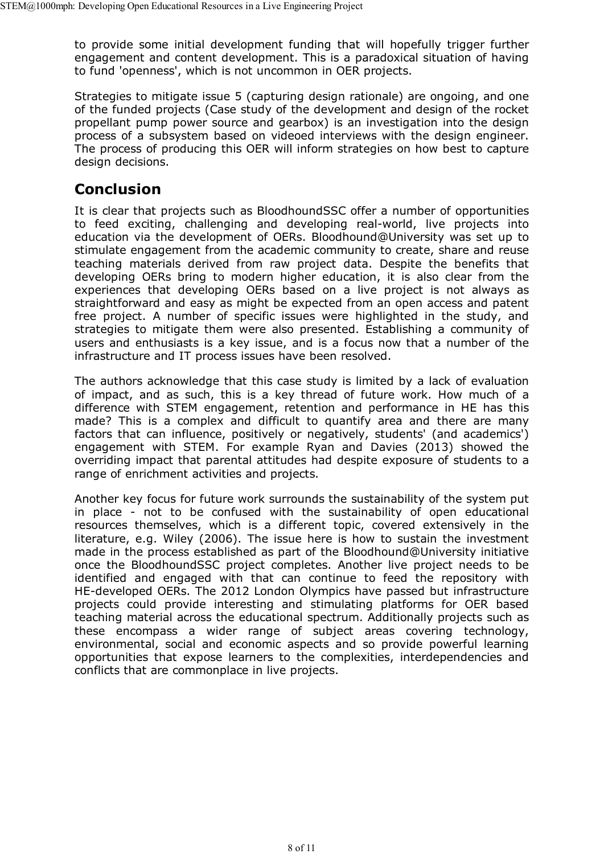to provide some initial development funding that will hopefully trigger further engagement and content development. This is a paradoxical situation of having to fund 'openness', which is not uncommon in OER projects.

Strategies to mitigate issue 5 (capturing design rationale) are ongoing, and one of the funded projects (Case study of the development and design of the rocket propellant pump power source and gearbox) is an investigation into the design process of a subsystem based on videoed interviews with the design engineer. The process of producing this OER will inform strategies on how best to capture design decisions.

### **Conclusion**

It is clear that projects such as BloodhoundSSC offer a number of opportunities to feed exciting, challenging and developing real-world, live projects into education via the development of OERs. Bloodhound@University was set up to stimulate engagement from the academic community to create, share and reuse teaching materials derived from raw project data. Despite the benefits that developing OERs bring to modern higher education, it is also clear from the experiences that developing OERs based on a live project is not always as straightforward and easy as might be expected from an open access and patent free project. A number of specific issues were highlighted in the study, and strategies to mitigate them were also presented. Establishing a community of users and enthusiasts is a key issue, and is a focus now that a number of the infrastructure and IT process issues have been resolved.

The authors acknowledge that this case study is limited by a lack of evaluation of impact, and as such, this is a key thread of future work. How much of a difference with STEM engagement, retention and performance in HE has this made? This is a complex and difficult to quantify area and there are many factors that can influence, positively or negatively, students' (and academics') engagement with STEM. For example Ryan and Davies (2013) showed the overriding impact that parental attitudes had despite exposure of students to a range of enrichment activities and projects.

Another key focus for future work surrounds the sustainability of the system put in place - not to be confused with the sustainability of open educational resources themselves, which is a different topic, covered extensively in the literature, e.g. Wiley (2006). The issue here is how to sustain the investment made in the process established as part of the Bloodhound@University initiative once the BloodhoundSSC project completes. Another live project needs to be identified and engaged with that can continue to feed the repository with HE-developed OERs. The 2012 London Olympics have passed but infrastructure projects could provide interesting and stimulating platforms for OER based teaching material across the educational spectrum. Additionally projects such as these encompass a wider range of subject areas covering technology, environmental, social and economic aspects and so provide powerful learning opportunities that expose learners to the complexities, interdependencies and conflicts that are commonplace in live projects.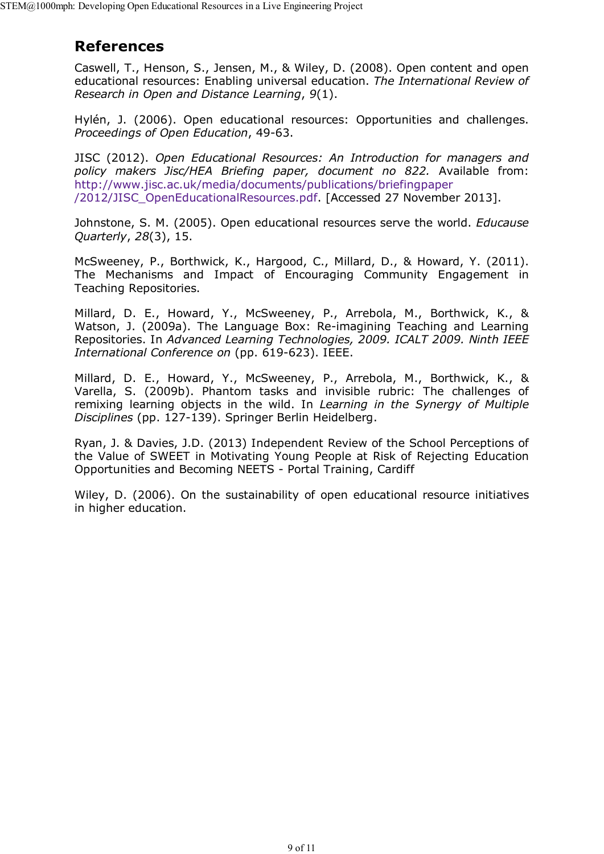#### **References**

Caswell, T., Henson, S., Jensen, M., & Wiley, D. (2008). Open content and open educational resources: Enabling universal education. *The International Review of Research in Open and Distance Learning*, *9*(1).

Hylén, J. (2006). Open educational resources: Opportunities and challenges. *Proceedings of Open Education*, 49-63.

JISC (2012). *Open Educational Resources: An Introduction for managers and policy makers Jisc/HEA Briefing paper, document no 822.* Available from: http://www.jisc.ac.uk/media/documents/publications/briefingpaper /2012/JISC\_OpenEducationalResources.pdf. [Accessed 27 November 2013].

Johnstone, S. M. (2005). Open educational resources serve the world. *Educause Quarterly*, *28*(3), 15.

McSweeney, P., Borthwick, K., Hargood, C., Millard, D., & Howard, Y. (2011). The Mechanisms and Impact of Encouraging Community Engagement in Teaching Repositories.

Millard, D. E., Howard, Y., McSweeney, P., Arrebola, M., Borthwick, K., & Watson, J. (2009a). The Language Box: Re-imagining Teaching and Learning Repositories. In *Advanced Learning Technologies, 2009. ICALT 2009. Ninth IEEE International Conference on* (pp. 619-623). IEEE.

Millard, D. E., Howard, Y., McSweeney, P., Arrebola, M., Borthwick, K., & Varella, S. (2009b). Phantom tasks and invisible rubric: The challenges of remixing learning objects in the wild. In *Learning in the Synergy of Multiple Disciplines* (pp. 127-139). Springer Berlin Heidelberg.

Ryan, J. & Davies, J.D. (2013) Independent Review of the School Perceptions of the Value of SWEET in Motivating Young People at Risk of Rejecting Education Opportunities and Becoming NEETS - Portal Training, Cardiff

Wiley, D. (2006). On the sustainability of open educational resource initiatives in higher education.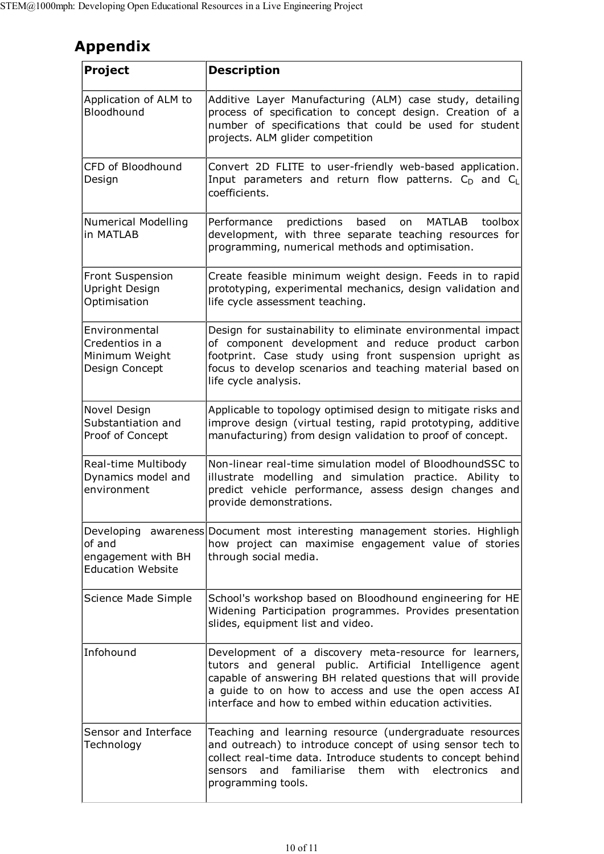# **Appendix**

| <b>Project</b>                                                       | <b>Description</b>                                                                                                                                                                                                                                                                                     |
|----------------------------------------------------------------------|--------------------------------------------------------------------------------------------------------------------------------------------------------------------------------------------------------------------------------------------------------------------------------------------------------|
| Application of ALM to<br>Bloodhound                                  | Additive Layer Manufacturing (ALM) case study, detailing<br>process of specification to concept design. Creation of a<br>number of specifications that could be used for student<br>projects. ALM glider competition                                                                                   |
| CFD of Bloodhound<br>Design                                          | Convert 2D FLITE to user-friendly web-based application.<br>Input parameters and return flow patterns. C <sub>D</sub> and CL<br>coefficients.                                                                                                                                                          |
| Numerical Modelling<br>in MATLAB                                     | Performance<br>predictions<br>based<br>MATLAB<br>toolbox<br>on<br>development, with three separate teaching resources for<br>programming, numerical methods and optimisation.                                                                                                                          |
| Front Suspension<br>Upright Design<br>Optimisation                   | Create feasible minimum weight design. Feeds in to rapid<br>prototyping, experimental mechanics, design validation and<br>life cycle assessment teaching.                                                                                                                                              |
| Environmental<br>Credentios in a<br>Minimum Weight<br>Design Concept | Design for sustainability to eliminate environmental impact<br>of component development and reduce product carbon<br>footprint. Case study using front suspension upright as<br>focus to develop scenarios and teaching material based on<br>life cycle analysis.                                      |
| Novel Design<br>Substantiation and<br>Proof of Concept               | Applicable to topology optimised design to mitigate risks and<br>improve design (virtual testing, rapid prototyping, additive<br>manufacturing) from design validation to proof of concept.                                                                                                            |
| Real-time Multibody<br>Dynamics model and<br>environment             | Non-linear real-time simulation model of BloodhoundSSC to<br>illustrate modelling and simulation practice. Ability<br>tol<br>predict vehicle performance, assess design changes and<br>provide demonstrations.                                                                                         |
| of and<br>engagement with BH<br><b>Education Website</b>             | Developing awareness Document most interesting management stories. Highligh<br>how project can maximise engagement value of stories<br>through social media.                                                                                                                                           |
| Science Made Simple                                                  | School's workshop based on Bloodhound engineering for HE<br>Widening Participation programmes. Provides presentation<br>slides, equipment list and video.                                                                                                                                              |
| Infohound                                                            | Development of a discovery meta-resource for learners,<br>tutors and general public. Artificial Intelligence agent<br>capable of answering BH related questions that will provide<br>a guide to on how to access and use the open access AI<br>interface and how to embed within education activities. |
| Sensor and Interface<br>Technology                                   | Teaching and learning resource (undergraduate resources<br>and outreach) to introduce concept of using sensor tech to<br>collect real-time data. Introduce students to concept behind<br>sensors and familiarise them with electronics<br>andl<br>programming tools.                                   |